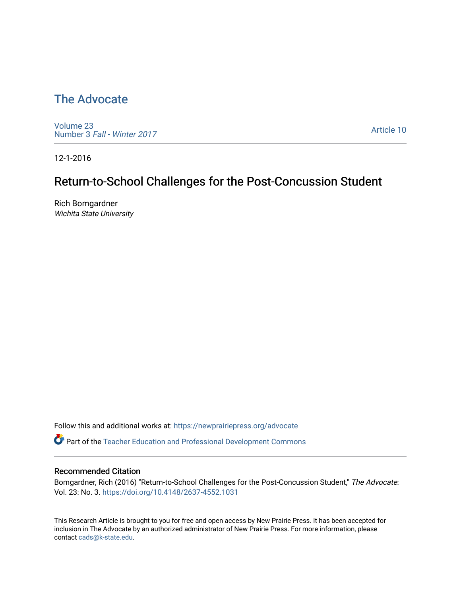# [The Advocate](https://newprairiepress.org/advocate)

[Volume 23](https://newprairiepress.org/advocate/vol23) Number 3 [Fall - Winter 2017](https://newprairiepress.org/advocate/vol23/iss3) 

[Article 10](https://newprairiepress.org/advocate/vol23/iss3/10) 

12-1-2016

# Return-to-School Challenges for the Post-Concussion Student

Rich Bomgardner Wichita State University

Follow this and additional works at: [https://newprairiepress.org/advocate](https://newprairiepress.org/advocate?utm_source=newprairiepress.org%2Fadvocate%2Fvol23%2Fiss3%2F10&utm_medium=PDF&utm_campaign=PDFCoverPages) 

Part of the [Teacher Education and Professional Development Commons](http://network.bepress.com/hgg/discipline/803?utm_source=newprairiepress.org%2Fadvocate%2Fvol23%2Fiss3%2F10&utm_medium=PDF&utm_campaign=PDFCoverPages) 

#### Recommended Citation

Bomgardner, Rich (2016) "Return-to-School Challenges for the Post-Concussion Student," The Advocate: Vol. 23: No. 3.<https://doi.org/10.4148/2637-4552.1031>

This Research Article is brought to you for free and open access by New Prairie Press. It has been accepted for inclusion in The Advocate by an authorized administrator of New Prairie Press. For more information, please contact [cads@k-state.edu](mailto:cads@k-state.edu).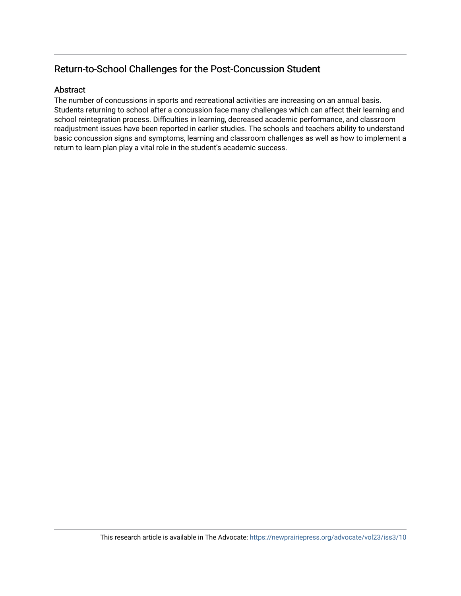## Return-to-School Challenges for the Post-Concussion Student

#### Abstract

The number of concussions in sports and recreational activities are increasing on an annual basis. Students returning to school after a concussion face many challenges which can affect their learning and school reintegration process. Difficulties in learning, decreased academic performance, and classroom readjustment issues have been reported in earlier studies. The schools and teachers ability to understand basic concussion signs and symptoms, learning and classroom challenges as well as how to implement a return to learn plan play a vital role in the student's academic success.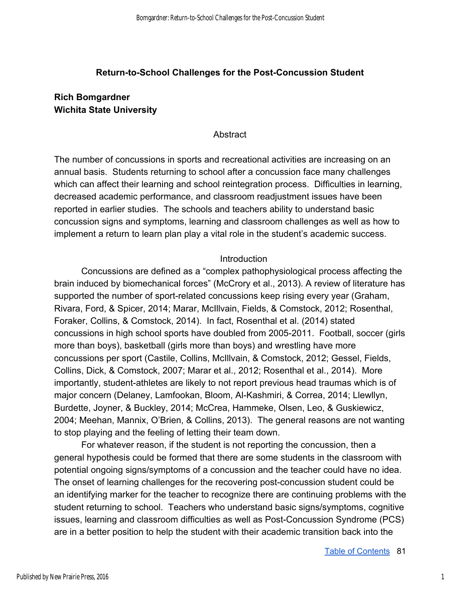#### **Return-to-School Challenges for the Post-Concussion Student**

### **Rich Bomgardner Wichita State University**

Abstract

The number of concussions in sports and recreational activities are increasing on an annual basis. Students returning to school after a concussion face many challenges which can affect their learning and school reintegration process. Difficulties in learning, decreased academic performance, and classroom readjustment issues have been reported in earlier studies. The schools and teachers ability to understand basic concussion signs and symptoms, learning and classroom challenges as well as how to implement a return to learn plan play a vital role in the student's academic success.

#### Introduction

Concussions are defined as a "complex pathophysiological process affecting the brain induced by biomechanical forces" (McCrory et al., 2013). A review of literature has supported the number of sport-related concussions keep rising every year (Graham, Rivara, Ford, & Spicer, 2014; Marar, McIllvain, Fields, & Comstock, 2012; Rosenthal, Foraker, Collins, & Comstock, 2014). In fact, Rosenthal et al. (2014) stated concussions in high school sports have doubled from 2005-2011. Football, soccer (girls more than boys), basketball (girls more than boys) and wrestling have more concussions per sport (Castile, Collins, McIllvain, & Comstock, 2012; Gessel, Fields, Collins, Dick, & Comstock, 2007; Marar et al., 2012; Rosenthal et al., 2014). More importantly, student-athletes are likely to not report previous head traumas which is of major concern (Delaney, Lamfookan, Bloom, Al-Kashmiri, & Correa, 2014; Llewllyn, Burdette, Joyner, & Buckley, 2014; McCrea, Hammeke, Olsen, Leo, & Guskiewicz, 2004; Meehan, Mannix, O'Brien, & Collins, 2013). The general reasons are not wanting to stop playing and the feeling of letting their team down.

For whatever reason, if the student is not reporting the concussion, then a general hypothesis could be formed that there are some students in the classroom with potential ongoing signs/symptoms of a concussion and the teacher could have no idea. The onset of learning challenges for the recovering post-concussion student could be an identifying marker for the teacher to recognize there are continuing problems with the student returning to school. Teachers who understand basic signs/symptoms, cognitive issues, learning and classroom difficulties as well as Post-Concussion Syndrome (PCS) are in a better position to help the student with their academic transition back into the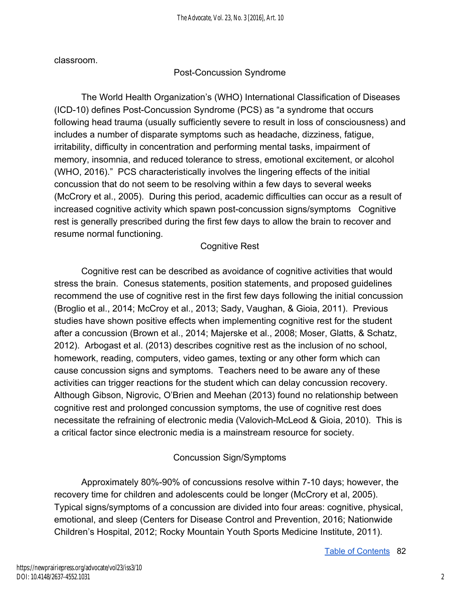classroom.

### Post-Concussion Syndrome

The World Health Organization's (WHO) International Classification of Diseases (ICD-10) defines Post-Concussion Syndrome (PCS) as "a syndrome that occurs following head trauma (usually sufficiently severe to result in loss of consciousness) and includes a number of disparate symptoms such as headache, dizziness, fatigue, irritability, difficulty in concentration and performing mental tasks, impairment of memory, insomnia, and reduced tolerance to stress, emotional excitement, or alcohol (WHO, 2016)." PCS characteristically involves the lingering effects of the initial concussion that do not seem to be resolving within a few days to several weeks (McCrory et al., 2005). During this period, academic difficulties can occur as a result of increased cognitive activity which spawn post-concussion signs/symptoms Cognitive rest is generally prescribed during the first few days to allow the brain to recover and resume normal functioning.

### Cognitive Rest

Cognitive rest can be described as avoidance of cognitive activities that would stress the brain. Conesus statements, position statements, and proposed guidelines recommend the use of cognitive rest in the first few days following the initial concussion (Broglio et al., 2014; McCroy et al., 2013; Sady, Vaughan, & Gioia, 2011). Previous studies have shown positive effects when implementing cognitive rest for the student after a concussion (Brown et al., 2014; Majerske et al., 2008; Moser, Glatts, & Schatz, 2012). Arbogast et al. (2013) describes cognitive rest as the inclusion of no school, homework, reading, computers, video games, texting or any other form which can cause concussion signs and symptoms. Teachers need to be aware any of these activities can trigger reactions for the student which can delay concussion recovery. Although Gibson, Nigrovic, O'Brien and Meehan (2013) found no relationship between cognitive rest and prolonged concussion symptoms, the use of cognitive rest does necessitate the refraining of electronic media (Valovich-McLeod & Gioia, 2010). This is a critical factor since electronic media is a mainstream resource for society.

### Concussion Sign/Symptoms

Approximately 80%-90% of concussions resolve within 7-10 days; however, the recovery time for children and adolescents could be longer (McCrory et al, 2005). Typical signs/symptoms of a concussion are divided into four areas: cognitive, physical, emotional, and sleep (Centers for Disease Control and Prevention, 2016; Nationwide Children's Hospital, 2012; Rocky Mountain Youth Sports Medicine Institute, 2011).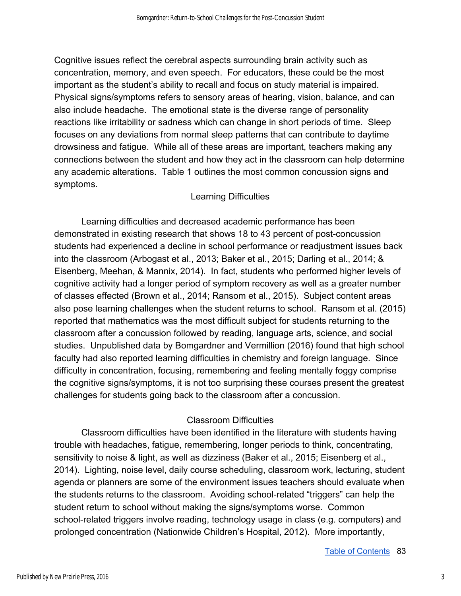Cognitive issues reflect the cerebral aspects surrounding brain activity such as concentration, memory, and even speech. For educators, these could be the most important as the student's ability to recall and focus on study material is impaired. Physical signs/symptoms refers to sensory areas of hearing, vision, balance, and can also include headache. The emotional state is the diverse range of personality reactions like irritability or sadness which can change in short periods of time. Sleep focuses on any deviations from normal sleep patterns that can contribute to daytime drowsiness and fatigue. While all of these areas are important, teachers making any connections between the student and how they act in the classroom can help determine any academic alterations. Table 1 outlines the most common concussion signs and symptoms.

#### Learning Difficulties

Learning difficulties and decreased academic performance has been demonstrated in existing research that shows 18 to 43 percent of post-concussion students had experienced a decline in school performance or readjustment issues back into the classroom (Arbogast et al., 2013; Baker et al., 2015; Darling et al., 2014; & Eisenberg, Meehan, & Mannix, 2014). In fact, students who performed higher levels of cognitive activity had a longer period of symptom recovery as well as a greater number of classes effected (Brown et al., 2014; Ransom et al., 2015). Subject content areas also pose learning challenges when the student returns to school. Ransom et al. (2015) reported that mathematics was the most difficult subject for students returning to the classroom after a concussion followed by reading, language arts, science, and social studies. Unpublished data by Bomgardner and Vermillion (2016) found that high school faculty had also reported learning difficulties in chemistry and foreign language. Since difficulty in concentration, focusing, remembering and feeling mentally foggy comprise the cognitive signs/symptoms, it is not too surprising these courses present the greatest challenges for students going back to the classroom after a concussion.

#### Classroom Difficulties

Classroom difficulties have been identified in the literature with students having trouble with headaches, fatigue, remembering, longer periods to think, concentrating, sensitivity to noise & light, as well as dizziness (Baker et al., 2015; Eisenberg et al., 2014). Lighting, noise level, daily course scheduling, classroom work, lecturing, student agenda or planners are some of the environment issues teachers should evaluate when the students returns to the classroom. Avoiding school-related "triggers" can help the student return to school without making the signs/symptoms worse. Common school-related triggers involve reading, technology usage in class (e.g. computers) and prolonged concentration (Nationwide Children's Hospital, 2012). More importantly,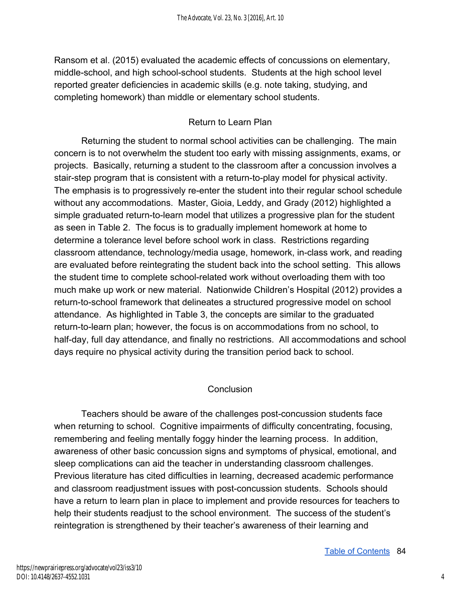Ransom et al. (2015) evaluated the academic effects of concussions on elementary, middle-school, and high school-school students. Students at the high school level reported greater deficiencies in academic skills (e.g. note taking, studying, and completing homework) than middle or elementary school students.

### Return to Learn Plan

Returning the student to normal school activities can be challenging. The main concern is to not overwhelm the student too early with missing assignments, exams, or projects. Basically, returning a student to the classroom after a concussion involves a stair-step program that is consistent with a return-to-play model for physical activity. The emphasis is to progressively re-enter the student into their regular school schedule without any accommodations. Master, Gioia, Leddy, and Grady (2012) highlighted a simple graduated return-to-learn model that utilizes a progressive plan for the student as seen in Table 2. The focus is to gradually implement homework at home to determine a tolerance level before school work in class. Restrictions regarding classroom attendance, technology/media usage, homework, in-class work, and reading are evaluated before reintegrating the student back into the school setting. This allows the student time to complete school-related work without overloading them with too much make up work or new material. Nationwide Children's Hospital (2012) provides a return-to-school framework that delineates a structured progressive model on school attendance. As highlighted in Table 3, the concepts are similar to the graduated return-to-learn plan; however, the focus is on accommodations from no school, to half-day, full day attendance, and finally no restrictions. All accommodations and school days require no physical activity during the transition period back to school.

## **Conclusion**

Teachers should be aware of the challenges post-concussion students face when returning to school. Cognitive impairments of difficulty concentrating, focusing, remembering and feeling mentally foggy hinder the learning process. In addition, awareness of other basic concussion signs and symptoms of physical, emotional, and sleep complications can aid the teacher in understanding classroom challenges. Previous literature has cited difficulties in learning, decreased academic performance and classroom readjustment issues with post-concussion students. Schools should have a return to learn plan in place to implement and provide resources for teachers to help their students readjust to the school environment. The success of the student's reintegration is strengthened by their teacher's awareness of their learning and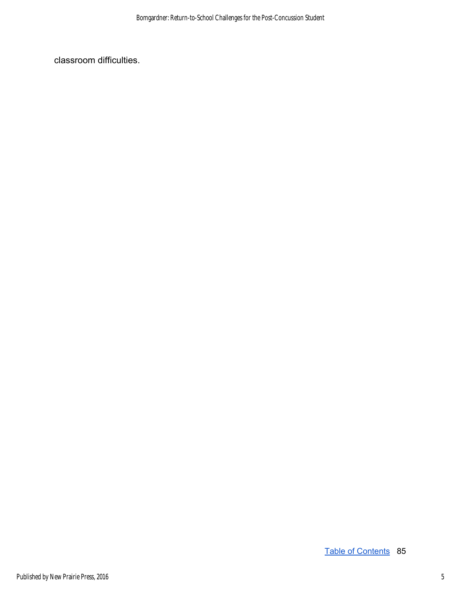classroom difficulties.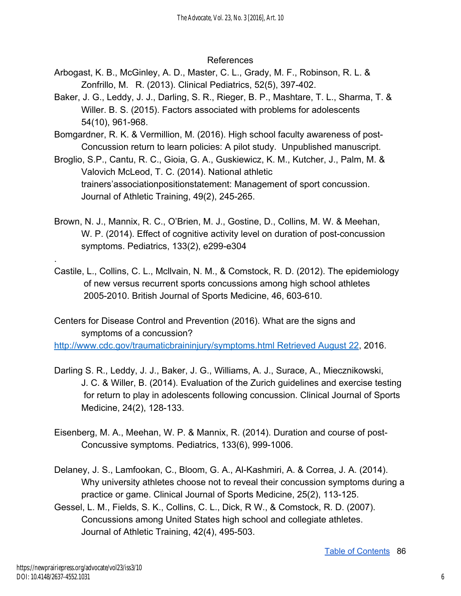#### References

- Arbogast, K. B., McGinley, A. D., Master, C. L., Grady, M. F., Robinson, R. L. & Zonfrillo, M. R. (2013). Clinical Pediatrics, 52(5), 397-402.
- Baker, J. G., Leddy, J. J., Darling, S. R., Rieger, B. P., Mashtare, T. L., Sharma, T. & Willer. B. S. (2015). Factors associated with problems for adolescents 54(10), 961-968.
- Bomgardner, R. K. & Vermillion, M. (2016). High school faculty awareness of post-Concussion return to learn policies: A pilot study. Unpublished manuscript.
- Broglio, S.P., Cantu, R. C., Gioia, G. A., Guskiewicz, K. M., Kutcher, J., Palm, M. & Valovich McLeod, T. C. (2014). National athletic trainers'associationpositionstatement: Management of sport concussion. Journal of Athletic Training, 49(2), 245-265.
- Brown, N. J., Mannix, R. C., O'Brien, M. J., Gostine, D., Collins, M. W. & Meehan, W. P. (2014). Effect of cognitive activity level on duration of post-concussion symptoms. Pediatrics, 133(2), e299-e304
- Castile, L., Collins, C. L., Mcllvain, N. M., & Comstock, R. D. (2012). The epidemiology of new versus recurrent sports concussions among high school athletes 2005-2010. British Journal of Sports Medicine, 46, 603-610.

Centers for Disease Control and Prevention (2016). What are the signs and symptoms of a concussion?

[http://www.cdc.gov/traumaticbraininjury/symptoms.html Retrieved August 22,](http://www.cdc.gov/traumaticbraininjury/symptoms.html%20Retrieved%20August%20%0922) 2016.

- Darling S. R., Leddy, J. J., Baker, J. G., Williams, A. J., Surace, A., Miecznikowski, J. C. & Willer, B. (2014). Evaluation of the Zurich guidelines and exercise testing for return to play in adolescents following concussion. Clinical Journal of Sports Medicine, 24(2), 128-133.
- Eisenberg, M. A., Meehan, W. P. & Mannix, R. (2014). Duration and course of post-Concussive symptoms. Pediatrics, 133(6), 999-1006.
- Delaney, J. S., Lamfookan, C., Bloom, G. A., Al-Kashmiri, A. & Correa, J. A. (2014). Why university athletes choose not to reveal their concussion symptoms during a practice or game. Clinical Journal of Sports Medicine, 25(2), 113-125.
- Gessel, L. M., Fields, S. K., Collins, C. L., Dick, R W., & Comstock, R. D. (2007). Concussions among United States high school and collegiate athletes. Journal of Athletic Training, 42(4), 495-503.

.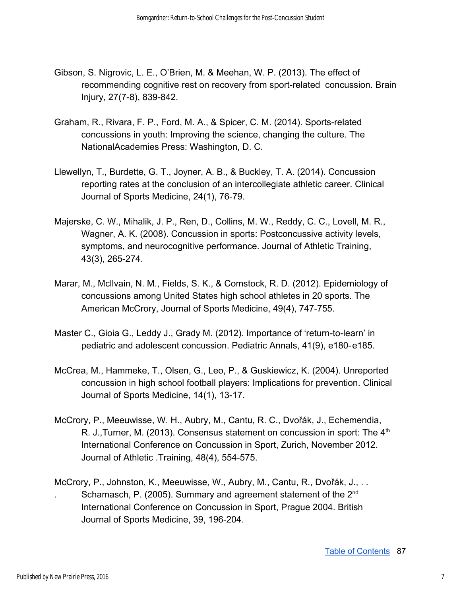- Gibson, S. Nigrovic, L. E., O'Brien, M. & Meehan, W. P. (2013). The effect of recommending cognitive rest on recovery from sport-related concussion. Brain Injury, 27(7-8), 839-842.
- Graham, R., Rivara, F. P., Ford, M. A., & Spicer, C. M. (2014). Sports-related concussions in youth: Improving the science, changing the culture. The NationalAcademies Press: Washington, D. C.
- Llewellyn, T., Burdette, G. T., Joyner, A. B., & Buckley, T. A. (2014). Concussion reporting rates at the conclusion of an intercollegiate athletic career. Clinical Journal of Sports Medicine, 24(1), 76-79.
- Majerske, C. W., Mihalik, J. P., Ren, D., Collins, M. W., Reddy, C. C., Lovell, M. R., Wagner, A. K. (2008). Concussion in sports: Postconcussive activity levels, symptoms, and neurocognitive performance. Journal of Athletic Training, 43(3), 265-274.
- Marar, M., Mcllvain, N. M., Fields, S. K., & Comstock, R. D. (2012). Epidemiology of concussions among United States high school athletes in 20 sports. The American McCrory, Journal of Sports Medicine, 49(4), 747-755.
- Master C., Gioia G., Leddy J., Grady M. (2012). Importance of 'return-to-learn' in pediatric and adolescent concussion. Pediatric Annals, 41(9), e180-e185.
- McCrea, M., Hammeke, T., Olsen, G., Leo, P., & Guskiewicz, K. (2004). Unreported concussion in high school football players: Implications for prevention. Clinical Journal of Sports Medicine, 14(1), 13-17.
- McCrory, P., Meeuwisse, W. H., Aubry, M., Cantu, R. C., Dvořák, J., Echemendia, R. J., Turner, M. (2013). Consensus statement on concussion in sport: The 4<sup>th</sup> International Conference on Concussion in Sport, Zurich, November 2012. Journal of Athletic .Training, 48(4), 554-575.
- McCrory, P., Johnston, K., Meeuwisse, W., Aubry, M., Cantu, R., Dvořák, J., . . Schamasch, P. (2005). Summary and agreement statement of the  $2^{nd}$ International Conference on Concussion in Sport, Prague 2004. British Journal of Sports Medicine, 39, 196-204.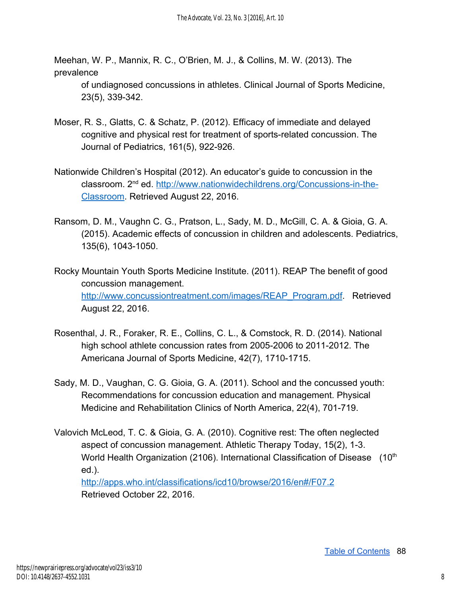Meehan, W. P., Mannix, R. C., O'Brien, M. J., & Collins, M. W. (2013). The prevalence

of undiagnosed concussions in athletes. Clinical Journal of Sports Medicine, 23(5), 339-342.

- Moser, R. S., Glatts, C. & Schatz, P. (2012). Efficacy of immediate and delayed cognitive and physical rest for treatment of sports-related concussion. The Journal of Pediatrics, 161(5), 922-926.
- Nationwide Children's Hospital (2012). An educator's guide to concussion in the classroom. 2nd ed. [http://www.nationwidechildrens.org/Concussions-in-the-](http://www.nationwidechildrens.org/Concussions-in-the-Classroom)[Classroom.](http://www.nationwidechildrens.org/Concussions-in-the-Classroom) Retrieved August 22, 2016.
- Ransom, D. M., Vaughn C. G., Pratson, L., Sady, M. D., McGill, C. A. & Gioia, G. A. (2015). Academic effects of concussion in children and adolescents. Pediatrics, 135(6), 1043-1050.
- Rocky Mountain Youth Sports Medicine Institute. (2011). REAP The benefit of good concussion management. [http://www.concussiontreatment.com/images/REAP\\_Program.pdf.](http://www.concussiontreatment.com/images/REAP_Program.pdf) Retrieved August 22, 2016.
- Rosenthal, J. R., Foraker, R. E., Collins, C. L., & Comstock, R. D. (2014). National high school athlete concussion rates from 2005-2006 to 2011-2012. The Americana Journal of Sports Medicine, 42(7), 1710-1715.
- Sady, M. D., Vaughan, C. G. Gioia, G. A. (2011). School and the concussed youth: Recommendations for concussion education and management. Physical Medicine and Rehabilitation Clinics of North America, 22(4), 701-719.
- Valovich McLeod, T. C. & Gioia, G. A. (2010). Cognitive rest: The often neglected aspect of concussion management. Athletic Therapy Today, 15(2), 1-3. World Health Organization (2106). International Classification of Disease (10<sup>th</sup> ed.). <http://apps.who.int/classifications/icd10/browse/2016/en#/F07.2> Retrieved October 22, 2016.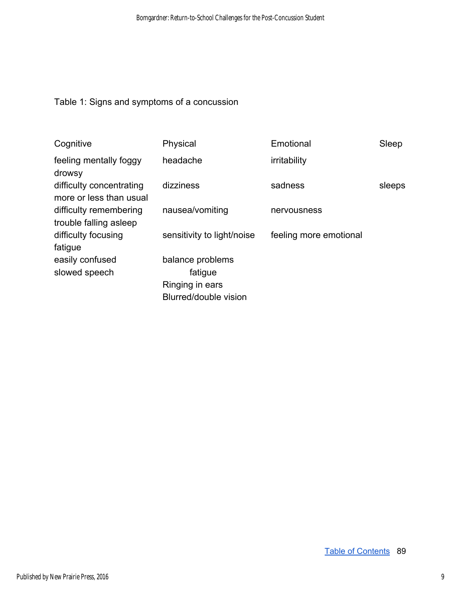## Table 1: Signs and symptoms of a concussion

| Cognitive                                           | Physical                   | Emotional              | Sleep  |
|-----------------------------------------------------|----------------------------|------------------------|--------|
| feeling mentally foggy<br>drowsy                    | headache                   | irritability           |        |
| difficulty concentrating<br>more or less than usual | dizziness                  | sadness                | sleeps |
| difficulty remembering<br>trouble falling asleep    | nausea/vomiting            | nervousness            |        |
| difficulty focusing<br>fatigue                      | sensitivity to light/noise | feeling more emotional |        |
| easily confused                                     | balance problems           |                        |        |
| slowed speech                                       | fatigue                    |                        |        |
|                                                     | Ringing in ears            |                        |        |
|                                                     | Blurred/double vision      |                        |        |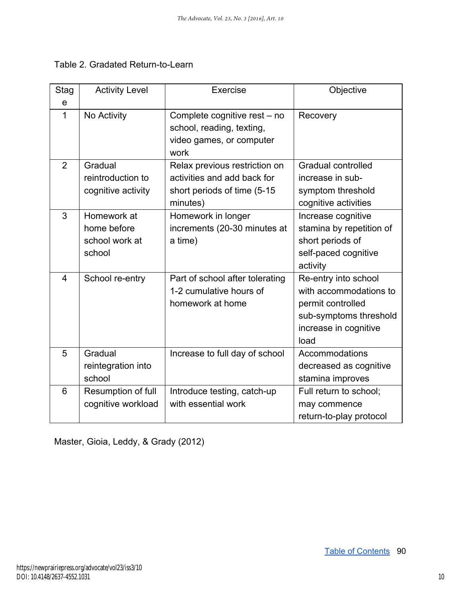|  |  | Table 2. Gradated Return-to-Learn |
|--|--|-----------------------------------|
|--|--|-----------------------------------|

| Stag<br>e      | <b>Activity Level</b>                                  | <b>Exercise</b>                                                                                         | Objective                                                                                                                      |
|----------------|--------------------------------------------------------|---------------------------------------------------------------------------------------------------------|--------------------------------------------------------------------------------------------------------------------------------|
| $\mathbf 1$    | No Activity                                            | Complete cognitive rest – no<br>school, reading, texting,<br>video games, or computer<br>work           | Recovery                                                                                                                       |
| $\overline{2}$ | Gradual<br>reintroduction to<br>cognitive activity     | Relax previous restriction on<br>activities and add back for<br>short periods of time (5-15<br>minutes) | <b>Gradual controlled</b><br>increase in sub-<br>symptom threshold<br>cognitive activities                                     |
| 3              | Homework at<br>home before<br>school work at<br>school | Homework in longer<br>increments (20-30 minutes at<br>a time)                                           | Increase cognitive<br>stamina by repetition of<br>short periods of<br>self-paced cognitive<br>activity                         |
| $\overline{4}$ | School re-entry                                        | Part of school after tolerating<br>1-2 cumulative hours of<br>homework at home                          | Re-entry into school<br>with accommodations to<br>permit controlled<br>sub-symptoms threshold<br>increase in cognitive<br>load |
| 5              | Gradual<br>reintegration into<br>school                | Increase to full day of school                                                                          | Accommodations<br>decreased as cognitive<br>stamina improves                                                                   |
| 6              | Resumption of full<br>cognitive workload               | Introduce testing, catch-up<br>with essential work                                                      | Full return to school;<br>may commence<br>return-to-play protocol                                                              |

Master, Gioia, Leddy, & Grady (2012)